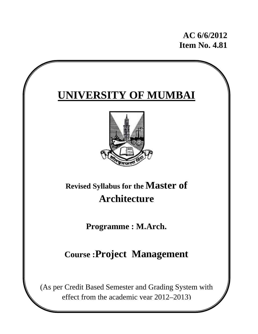**AC 6/6/2012 Item No. 4.81** 

# **UNIVERSITY OF MUMBAI Revised Syllabus for the Master of Architecture Programme : M.Arch. Course :Project Management**  (As per Credit Based Semester and Grading System with

effect from the academic year 2012–2013)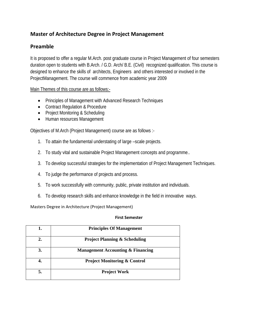# **Master of Architecture Degree in Project Management**

# **Preamble**

It is proposed to offer a regular M.Arch. post graduate course in Project Management of four semesters duration open to students with B.Arch. / G.D. Arch/ B.E. (Civil) recognized qualification. This course is designed to enhance the skills of architects, Engineers and others interested or involved in the ProjectManagement. The course will commence from academic year 2009

Main Themes of this course are as follows:-

- Principles of Management with Advanced Research Techniques
- Contract Regulation & Procedure
- Project Monitoring & Scheduling
- Human resources Management

Objectives of M.Arch (Project Management) course are as follows :-

- 1. To attain the fundamental understating of large –scale projects.
- 2. To study vital and sustainable Project Management concepts and programme..
- 3. To develop successful strategies for the implementation of Project Management Techniques.
- 4. To judge the performance of projects and process.
- 5. To work successfully with community, public, private institution and individuals.
- 6. To develop research skills and enhance knowledge in the field in innovative ways.

Masters Degree in Architecture (Project Management)

## **First Semester**

| 1. | <b>Principles Of Management</b>              |
|----|----------------------------------------------|
| 2. | <b>Project Planning &amp; Scheduling</b>     |
| 3. | <b>Management Accounting &amp; Financing</b> |
|    | <b>Project Monitoring &amp; Control</b>      |
| 5. | <b>Project Work</b>                          |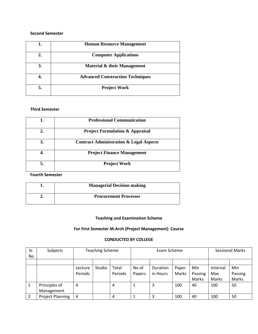## **Second Semester**

| 1. | <b>Human Resource Management</b>        |
|----|-----------------------------------------|
| 2. | <b>Computer Applications</b>            |
| 3. | Material & their Management             |
|    | <b>Advanced Construction Techniques</b> |
|    | <b>Project Work</b>                     |

# **Third Semester**

| 1. | <b>Professional Communication</b>                  |
|----|----------------------------------------------------|
| 2. | <b>Project Formulation &amp; Appraisal</b>         |
| 3. | <b>Contract Administration &amp; Legal Aspects</b> |
| 4. | <b>Project Finance Management</b>                  |
| 5. | <b>Project Work</b>                                |

# **Fourth Semester**

| <b>Managerial Decision making</b> |
|-----------------------------------|
| <b>Procurement Processes</b>      |

# **Teaching and Examination Scheme**

# **For First Semester M.Arch (Project Management) Course**

# **CONDUCTED BY COLLEGE**

| Sr. | Subjects                | <b>Teaching Scheme</b> |        |         | Exam Scheme |          |       | <b>Sessional Marks</b> |          |         |
|-----|-------------------------|------------------------|--------|---------|-------------|----------|-------|------------------------|----------|---------|
| No  |                         |                        |        |         |             |          |       |                        |          |         |
|     |                         |                        |        |         |             |          |       |                        |          |         |
|     |                         | Lecture                | Studio | Total   | No of       | Duration | Paper | Min                    | Internal | Min     |
|     |                         | Periods                |        | Periods | Papers      | in Hours | Marks | Passing                | Max      | Passing |
|     |                         |                        |        |         |             |          |       | Marks                  | Marks    | Marks   |
|     | Principles of           | 4                      |        | 4       |             | 3        | 100   | 40                     | 100      | 50      |
|     | Management              |                        |        |         |             |          |       |                        |          |         |
|     | <b>Project Planning</b> | 4                      |        | 4       |             | 3        | 100   | 40                     | 100      | 50      |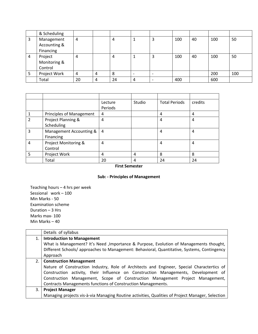|   | & Scheduling |    |   |    |   |                          |     |    |     |     |
|---|--------------|----|---|----|---|--------------------------|-----|----|-----|-----|
| 3 | Management   | 4  |   | 4  |   | 3                        | 100 | 40 | 100 | 50  |
|   | Accounting & |    |   |    |   |                          |     |    |     |     |
|   | Financing    |    |   |    |   |                          |     |    |     |     |
| 4 | Project      | 4  |   | 4  |   | 3                        | 100 | 40 | 100 | 50  |
|   | Monitoring & |    |   |    |   |                          |     |    |     |     |
|   | Control      |    |   |    |   |                          |     |    |     |     |
| 5 | Project Work | 4  | 4 | 8  |   | $\overline{\phantom{0}}$ |     |    | 200 | 100 |
|   | Total        | 20 | 4 | 24 | 4 | $\overline{\phantom{0}}$ | 400 |    | 600 |     |

|   |                          | Lecture | Studio | <b>Total Periods</b> | credits |
|---|--------------------------|---------|--------|----------------------|---------|
|   |                          | Periods |        |                      |         |
|   | Principles of Management | 4       |        | 4                    | 4       |
| 2 | Project Planning &       | 4       |        | 4                    | 4       |
|   | Scheduling               |         |        |                      |         |
| 3 | Management Accounting &  | 4       |        | 4                    | 4       |
|   | Financing                |         |        |                      |         |
| 4 | Project Monitoring &     | 4       |        | 4                    | 4       |
|   | Control                  |         |        |                      |         |
| 5 | Project Work             | 4       | 4      | 8                    | 8       |
|   | Total                    | 20      | 4      | 24                   | 24      |

## **First Semester**

# **Sub: ‐ Principles of Management**

Teaching hours – 4 hrs per week Sessional work – 100 Min Marks ‐ 50 Examination scheme Duration – 3 Hrs Marks max‐ 100 Min Marks – 40

|     | Details of syllabus                                                                              |  |  |  |  |
|-----|--------------------------------------------------------------------------------------------------|--|--|--|--|
| 1.  | <b>Introduction to Management</b>                                                                |  |  |  |  |
|     | What is Management? It's Need, Importance & Purpose, Evolution of Managements thought,           |  |  |  |  |
|     | Different Schools/ approaches to Management: Behavioral, Quantitative, Systems, Contingency      |  |  |  |  |
|     | Approach                                                                                         |  |  |  |  |
| 2.1 | <b>Construction Management</b>                                                                   |  |  |  |  |
|     | Nature of Construction Industry, Role of Architects and Engineer, Special Charactertics of       |  |  |  |  |
|     | Construction activity, their Influence on Construction Managements, Development of               |  |  |  |  |
|     | Construction Management, Scope of Construction Management Project Management,                    |  |  |  |  |
|     | Contracts Managements functions of Construction Managements.                                     |  |  |  |  |
| 3.  | <b>Project Manager</b>                                                                           |  |  |  |  |
|     | Managing projects vis-à-via Managing Routine activities, Qualities of Project Manager, Selection |  |  |  |  |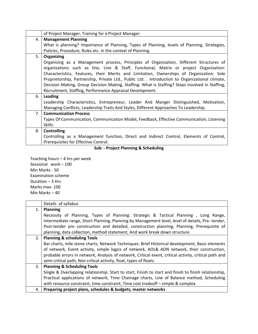|     | of Project Manager, Training for a Project Manager.                                              |
|-----|--------------------------------------------------------------------------------------------------|
| 4.  | <b>Management Planning</b>                                                                       |
|     | What is planning? Importance of Planning, Types of Planning, levels of Planning, Strategies,     |
|     | Policies, Procedure, Rules etc. in the context of Planning.                                      |
| 5.  | Organizing                                                                                       |
|     | Organizing as a Management process, Principles of Organization, Different Structures of          |
|     | organizations such as line, Line & Staff, Functional, Matrix or project Organization:            |
|     | Characteristics, Features, their Merits and Limitation, Ownerships of Organization: Sole         |
|     | Proprietorship, Partnership, Private Ltd., Public Ltd. . Introduction to Organizational climate, |
|     | Decision Making, Group Decision Making, Staffing: What is Staffing? Steps involved in Staffing,  |
|     | Recruitment, Staffing, Performance Appraisal Development.                                        |
| 6.  | Leading                                                                                          |
|     | Leadership Characteristics, Entrepreneur, Leader And Manger Distinguished, Motivation,           |
|     | Managing Conflicts, Leadership Traits And Styles, Different Approaches To Leadership.            |
| 7.1 | <b>Communication Process</b>                                                                     |
|     | Types Of Communication, Communication Model, Feedback, Effective Communication, Listening        |
|     | Skills.                                                                                          |
| 8.  | <b>Controlling</b>                                                                               |
|     | Controlling as a Management function, Direct and Indirect Control, Elements of Control,          |
|     | Prerequisites for Effective Control.                                                             |

**Sub: ‐ Project Planning & Scheduling**

Teaching hours – 4 hrs per week Sessional work - 100 Min Marks ‐ 50 Examination scheme Duration – 3 Hrs Marks max‐ 100 Min Marks – 40

|    | Details of syllabus                                                                                   |  |  |  |  |  |
|----|-------------------------------------------------------------------------------------------------------|--|--|--|--|--|
| 1. | <b>Planning</b>                                                                                       |  |  |  |  |  |
|    | Necessity of Planning, Types of Planning: Strategic & Tactical Planning, Long Range,                  |  |  |  |  |  |
|    | Intermediate range, Short Planning, Planning by Management level, level of details, Pre-tender,       |  |  |  |  |  |
|    | Post-tender pre construction and detailed, construction planning, Planning, Prerequisite of           |  |  |  |  |  |
|    | planning, data collection, method statement, And work break down structure.                           |  |  |  |  |  |
| 2. | <b>Planning &amp; scheduling Tools</b>                                                                |  |  |  |  |  |
|    | Bar charts, mile stone charts, Network Techniques: Brief Historical development, Basic elements       |  |  |  |  |  |
|    | of network, Event activity, simple logics of network, AOL& AON network, their construction,           |  |  |  |  |  |
|    | probable errors in network, Analysis of network, Critical event, critical activity, critical path and |  |  |  |  |  |
|    | semi critical path, Non critical activity, float, types of floats.                                    |  |  |  |  |  |
| 3. | <b>Planning &amp; Scheduling Tools</b>                                                                |  |  |  |  |  |
|    | Single & Overlapping relationship: Start to start, Finish to start and finish to finish relationship, |  |  |  |  |  |
|    | Practical applications of network, Time Chainage charts, Line of Balance method, Scheduling           |  |  |  |  |  |
|    | with resource constraint, time constraint, Time cost tradeoff - simple & complex.                     |  |  |  |  |  |
| 4. | Preparing project plans, schedules & budgets, master networks                                         |  |  |  |  |  |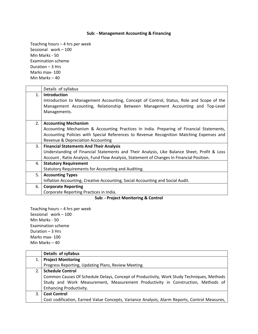# **Sub: ‐ Management Accounting & Financing**

Teaching hours – 4 hrs per week Sessional work – 100 Min Marks ‐ 50 Examination scheme Duration – 3 Hrs Marks max‐ 100 Min Marks – 40

|    | Details of syllabus                                                                                                                                                                                         |
|----|-------------------------------------------------------------------------------------------------------------------------------------------------------------------------------------------------------------|
| 1. | Introduction<br>Introduction to Management Accounting, Concept of Control, Status, Role and Scope of the<br>Management Accounting, Relationship Between Management Accounting and Top-Level<br>Managements. |
| 2. | <b>Accounting Mechanism</b>                                                                                                                                                                                 |
|    | Accounting Mechanism & Accounting Practices In India. Preparing of Financial Statements,                                                                                                                    |
|    | Accounting Policies with Special References to Revenue Recognition Matching Expenses and                                                                                                                    |
|    | Revenue & Depreciation Accounting                                                                                                                                                                           |
| 3. | <b>Financial Statements And Their Analysis</b>                                                                                                                                                              |
|    | Understanding of Financial Statements and Their Analysis, Like Balance Sheet, Profit & Loss                                                                                                                 |
|    | Account, Ratio Analysis, Fund Flow Analysis, Statement of Changes In Financial Position.                                                                                                                    |
| 4. | <b>Statutory Requirement</b>                                                                                                                                                                                |
|    | Statutory Requirements for Accounting and Auditing.                                                                                                                                                         |
| 5. | <b>Accounting Types</b>                                                                                                                                                                                     |
|    | Inflation Accounting, Creative Accounting, Social Accounting and Social Audit.                                                                                                                              |
| 6. | <b>Corporate Reporting</b>                                                                                                                                                                                  |
|    | Corporate Reporting Practices in India.                                                                                                                                                                     |
|    | $\alpha$ . The state of $\alpha$ is the state of $\alpha$ is the state of $\alpha$                                                                                                                          |

**Sub: ‐ Project Monitoring & Control**

Teaching hours – 4 hrs per week Sessional work – 100 Min Marks ‐ 50 Examination scheme Duration – 3 Hrs Marks max‐ 100 Min Marks – 40

|     | Details of syllabus                                                                           |
|-----|-----------------------------------------------------------------------------------------------|
| 1.  | <b>Project Monitoring</b>                                                                     |
|     | Progress Reporting, Updating Plans, Review Meeting.                                           |
| 2.1 | <b>Schedule Control</b>                                                                       |
|     | Common Causes Of Schedule Delays, Concept of Productivity, Work Study Techniques, Methods     |
|     | Study and Work Measurement, Measurement Productivity in Construction, Methods of              |
|     | <b>Enhancing Productivity.</b>                                                                |
| 3.  | <b>Cost Control</b>                                                                           |
|     | Cost codification, Earned Value Concepts, Variance Analysis, Alarm Reports, Control Measures, |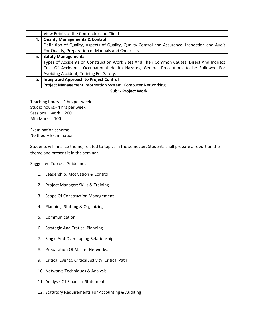|    | View Points of the Contractor and Client.                                                      |
|----|------------------------------------------------------------------------------------------------|
| 4. | <b>Quality Managements &amp; Control</b>                                                       |
|    | Definition of Quality, Aspects of Quality, Quality Control and Assurance, Inspection and Audit |
|    | For Quality, Preparation of Manuals and Checklists.                                            |
| 5. | <b>Safety Managements</b>                                                                      |
|    | Types of Accidents on Construction Work Sites And Their Common Causes, Direct And Indirect     |
|    | Cost Of Accidents, Occupational Health Hazards, General Precautions to be Followed For         |
|    | Avoiding Accident, Training For Safety.                                                        |
| 6. | <b>Integrated Approach to Project Control</b>                                                  |
|    | Project Management Information System, Computer Networking                                     |

**Sub: ‐ Project Work** 

Teaching hours – 4 hrs per week Studio hours:‐ 4 hrs per week Sessional work – 200 Min Marks ‐ 100

Examination scheme No theory Examination

Students will finalize theme, related to topics in the semester. Students shall prepare a report on the theme and present it in the seminar.

Suggested Topics:‐ Guidelines

- 1. Leadership, Motivation & Control
- 2. Project Manager: Skills & Training
- 3. Scope Of Construction Management
- 4. Planning, Staffing & Organizing
- 5. Communication
- 6. Strategic And Tratical Planning
- 7. Single And Overlapping Relationships
- 8. Preparation Of Master Networks.
- 9. Critical Events, Critical Activity, Critical Path
- 10. Networks Techniques & Analysis
- 11. Analysis Of Financial Statements
- 12. Statutory Requirements For Accounting & Auditing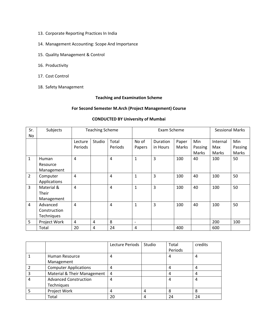- 13. Corporate Reporting Practices In India
- 14. Management Accounting: Scope And Importance
- 15. Quality Management & Control
- 16. Productivity
- 17. Cost Control
- 18. Safety Management

## **Teaching and Examination Scheme**

## **For Second Semester M.Arch (Project Management) Course**

# **CONDUCTED BY University of Mumbai**

| Sr.            | Subjects          | <b>Teaching Scheme</b> |        | Exam Scheme |                          |          |       | <b>Sessional Marks</b> |          |            |
|----------------|-------------------|------------------------|--------|-------------|--------------------------|----------|-------|------------------------|----------|------------|
| No             |                   |                        |        |             |                          |          |       |                        |          |            |
|                |                   | Lecture                | Studio | Total       | No of                    | Duration | Paper | Min                    | Internal | <b>Min</b> |
|                |                   | Periods                |        | Periods     | Papers                   | in Hours | Marks | Passing                | Max      | Passing    |
|                |                   |                        |        |             |                          |          |       | Marks                  | Marks    | Marks      |
| $\mathbf{1}$   | Human             | 4                      |        | 4           | $\mathbf{1}$             | 3        | 100   | 40                     | 100      | 50         |
|                | Resource          |                        |        |             |                          |          |       |                        |          |            |
|                | Management        |                        |        |             |                          |          |       |                        |          |            |
| $\overline{2}$ | Computer          | 4                      |        | 4           | $\mathbf{1}$             | 3        | 100   | 40                     | 100      | 50         |
|                | Applications      |                        |        |             |                          |          |       |                        |          |            |
| 3              | Material &        | 4                      |        | 4           | $\mathbf{1}$             | 3        | 100   | 40                     | 100      | 50         |
|                | Their             |                        |        |             |                          |          |       |                        |          |            |
|                | Management        |                        |        |             |                          |          |       |                        |          |            |
| 4              | Advanced          | 4                      |        | 4           | $\mathbf{1}$             | 3        | 100   | 40                     | 100      | 50         |
|                | Construction      |                        |        |             |                          |          |       |                        |          |            |
|                | <b>Techniques</b> |                        |        |             |                          |          |       |                        |          |            |
| 5              | Project Work      | 4                      | 4      | 8           | $\overline{\phantom{a}}$ |          |       |                        | 200      | 100        |
|                | Total             | 20                     | 4      | 24          | 4                        |          | 400   |                        | 600      |            |

|                              | Lecture Periods | Studio | Total   | credits |
|------------------------------|-----------------|--------|---------|---------|
|                              |                 |        | Periods |         |
| Human Resource               | 4               |        |         | 4       |
| Management                   |                 |        |         |         |
| <b>Computer Applications</b> | 4               |        |         | 4       |
| Material & Their Management  | 4               |        |         | 4       |
| <b>Advanced Construction</b> | 4               |        |         | 4       |
| Techniques                   |                 |        |         |         |
| Project Work                 | 4               | 4      | 8       | 8       |
| Total                        | 20              |        | 24      | 24      |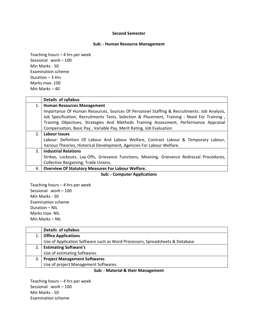#### **Second Semester**

#### **Sub: ‐ Human Resource Management**

Teaching hours – 4 hrs per week Sessional work – 100 Min Marks ‐ 50 Examination scheme Duration – 3 Hrs Marks max‐ 100 Min Marks – 40

|     | Details of syllabus                                                                         |
|-----|---------------------------------------------------------------------------------------------|
| 1.  | <b>Human Resources Management</b>                                                           |
|     | Importance Of Human Resources, Sources Of Personnel Staffing & Recruitments: Job Analysis,  |
|     | Job Specification, Recruitments Tests, Selection & Placement, Training : Need For Training, |
|     | Training Objectives, Strategies And Methods Training Assessment, Performance Appraisal      |
|     | Compensation, Basic Pay, Variable Pay, Merit Rating, Job Evaluation                         |
| 2.1 | Labour Issues                                                                               |
|     | Labour: Definition Of Labour And Labour Welfare, Contract Labour & Temporary Labour,        |
|     | Various Theories, Historical Development, Agencies For Labour Welfare.                      |
| 3.  | <b>Industrial Relations</b>                                                                 |
|     | Strikes, Lockouts, Lay-Offs, Grievance Functions, Meaning, Grievance Redressal Procedures,  |
|     | Collective Bargaining, Trade Unions.                                                        |
| 4.  | <b>Overview Of Statutory Measures For Labour Welfare.</b>                                   |

# **Sub: ‐ Computer Applications**

Teaching hours – 4 hrs per week Sessional work – 100 Min Marks ‐ 50 Examination scheme Duration – NIL Marks max‐ NIL Min Marks – NIL

|    | Details of syllabus                                                          |
|----|------------------------------------------------------------------------------|
| 1. | <b>Office Applications</b>                                                   |
|    | Use of Application Software such as Word Processors, Spreadsheets & Database |
| 2. | <b>Estimating Software's</b>                                                 |
|    | Use of estimating Softwares                                                  |
| 3. | <b>Project Management Softwares</b>                                          |
|    | Use of project Management Softwares                                          |
|    | .                                                                            |

#### **Sub: ‐ Material & their Management**

Teaching hours – 4 hrs per week Sessional work – 100 Min Marks ‐ 50 Examination scheme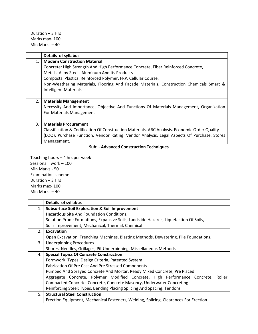Duration – 3 Hrs Marks max‐ 100 Min Marks – 40

|    | Details of syllabus                                                                           |
|----|-----------------------------------------------------------------------------------------------|
| 1. | <b>Modern Construction Material</b>                                                           |
|    | Concrete: High Strength And High Performance Concrete, Fiber Reinforced Concrete,             |
|    | Metals: Alloy Steels Aluminum And Its Products                                                |
|    | Composts: Plastics, Reinforced Polymer, FRP, Cellular Course.                                 |
|    | Non-Weathering Materials, Flooring And Façade Materials, Construction Chemicals Smart &       |
|    | <b>Intelligent Materials</b>                                                                  |
|    |                                                                                               |
| 2. | <b>Materials Management</b>                                                                   |
|    | Necessity And Importance, Objective And Functions Of Materials Management, Organization       |
|    | For Materials Management                                                                      |
|    |                                                                                               |
| 3. | <b>Materials Procurement</b>                                                                  |
|    | Classification & Codification Of Construction Materials. ABC Analysis, Economic Order Quality |
|    | (EOQ), Purchase Function, Vendor Rating, Vendor Analysis, Legal Aspects Of Purchase, Stores   |
|    | Management.                                                                                   |

# **Sub: ‐ Advanced Construction Techniques**

Teaching hours – 4 hrs per week Sessional work – 100 Min Marks ‐ 50 Examination scheme Duration – 3 Hrs Marks max‐ 100 Min Marks – 40

|    | Details of syllabus                                                                   |  |  |  |  |  |  |
|----|---------------------------------------------------------------------------------------|--|--|--|--|--|--|
| 1. | <b>Subsurface Soil Exploration &amp; Soil Improvement</b>                             |  |  |  |  |  |  |
|    | Hazardous Site And Foundation Conditions.                                             |  |  |  |  |  |  |
|    | Solution Prone Formations, Expansive Soils, Landslide Hazards, Liquefaction Of Soils, |  |  |  |  |  |  |
|    | Soils Improvement, Mechanical, Thermal, Chemical                                      |  |  |  |  |  |  |
| 2. | Excavation                                                                            |  |  |  |  |  |  |
|    | Open Excavation: Trenching Machines, Blasting Methods, Dewatering, Pile Foundations.  |  |  |  |  |  |  |
| 3. | <b>Underpinning Procedures</b>                                                        |  |  |  |  |  |  |
|    | Shores, Needles, Grillages, Pit Underpinning, Miscellaneous Methods                   |  |  |  |  |  |  |
| 4. | <b>Special Topics Of Concrete Construction</b>                                        |  |  |  |  |  |  |
|    | Formwork: Types, Design Criteria, Patented System                                     |  |  |  |  |  |  |
|    | <b>Fabrication Of Pre Cast And Pre Stressed Components</b>                            |  |  |  |  |  |  |
|    | Pumped And Sprayed Concrete And Mortar, Ready Mixed Concrete, Pre Placed              |  |  |  |  |  |  |
|    | Aggregate Concrete, Polymer Modified Concrete, High Performance Concrete, Roller      |  |  |  |  |  |  |
|    | Compacted Concrete, Concrete, Concrete Masonry, Underwater Concreting                 |  |  |  |  |  |  |
|    | Reinforcing Steel: Types, Bending Placing Splicing And Spacing, Tendons               |  |  |  |  |  |  |
| 5. | <b>Structural Steel Construction</b>                                                  |  |  |  |  |  |  |
|    | Erection Equipment, Mechanical Fasteners, Welding, Splicing, Clearances For Erection  |  |  |  |  |  |  |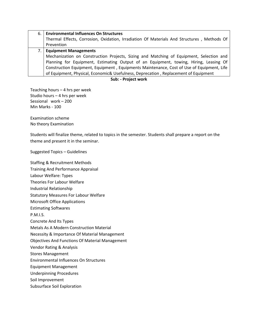| 6. I | <b>Environmental Influences On Structures</b>                                              |
|------|--------------------------------------------------------------------------------------------|
|      | Thermal Effects, Corrosion, Oxidation, Irradiation Of Materials And Structures, Methods Of |
|      | Prevention                                                                                 |
| 7. I | <b>Equipment Managements</b>                                                               |
|      | Mechanization on Construction Projects, Sizing and Matching of Equipment, Selection and    |
|      | Planning for Equipment, Estimating Output of an Equipment, towing, Hiring, Leasing Of      |
|      | Construction Equipment, Equipment, Equipments Maintenance, Cost of Use of Equipment, Life  |
|      | of Equipment, Physical, Economic& Usefulness, Deprecation, Replacement of Equipment        |

**Sub: ‐ Project work** 

Teaching hours – 4 hrs per week Studio hours – 4 hrs per week Sessional work – 200 Min Marks ‐ 100

Examination scheme No theory Examination

Students will finalize theme, related to topics in the semester. Students shall prepare a report on the theme and present it in the seminar.

Suggested Topics – Guidelines

Staffing & Recruitment Methods

Training And Performance Appraisal

Labour Welfare: Types

Theories For Labour Welfare

Industrial Relationship

Statutory Measures For Labour Welfare

Microsoft Office Applications

Estimating Softwares

P.M.I.S.

Concrete And Its Types

Metals As A Modern Construction Material

Necessity & Importance Of Material Management

Objectives And Functions Of Material Management

Vendor Rating & Analysis

Stores Management

Environmental Influences On Structures

Equipment Management

Underpinning Procedures

Soil Improvement

Subsurface Soil Exploration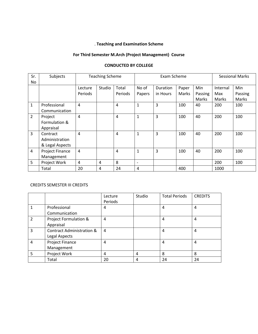# . **Teaching and Examination Scheme**

# **For Third Semester M.Arch (Project Management) Course**

| Sr.            | Subjects               | <b>Teaching Scheme</b> |        | Exam Scheme |                          |                 |       | <b>Sessional Marks</b> |          |         |
|----------------|------------------------|------------------------|--------|-------------|--------------------------|-----------------|-------|------------------------|----------|---------|
| No.            |                        |                        |        |             |                          |                 |       |                        |          |         |
|                |                        | Lecture                | Studio | Total       | No of                    | <b>Duration</b> | Paper | Min                    | Internal | Min     |
|                |                        | Periods                |        | Periods     | Papers                   | in Hours        | Marks | Passing                | Max      | Passing |
|                |                        |                        |        |             |                          |                 |       | Marks                  | Marks    | Marks   |
| $\mathbf{1}$   | Professional           | 4                      |        | 4           | $\mathbf{1}$             | 3               | 100   | 40                     | 200      | 100     |
|                | Communication          |                        |        |             |                          |                 |       |                        |          |         |
| $\overline{2}$ | Project                | $\overline{4}$         |        | 4           | 1                        | 3               | 100   | 40                     | 200      | 100     |
|                | Formulation &          |                        |        |             |                          |                 |       |                        |          |         |
|                | Appraisal              |                        |        |             |                          |                 |       |                        |          |         |
| $\overline{3}$ | Contract               | $\overline{4}$         |        | 4           | $\mathbf{1}$             | 3               | 100   | 40                     | 200      | 100     |
|                | Administration         |                        |        |             |                          |                 |       |                        |          |         |
|                | & Legal Aspects        |                        |        |             |                          |                 |       |                        |          |         |
| $\overline{4}$ | <b>Project Finance</b> | 4                      |        | 4           | 1                        | 3               | 100   | 40                     | 200      | 100     |
|                | Management             |                        |        |             |                          |                 |       |                        |          |         |
| 5              | Project Work           | 4                      | 4      | 8           | $\overline{\phantom{a}}$ |                 |       |                        | 200      | 100     |
|                | Total                  | 20                     | 4      | 24          | 4                        |                 | 400   |                        | 1000     |         |

# **CONDUCTED BY COLLEGE**

## CREDITS SEMESTER III CREDITS

|                |                                      | Lecture | Studio | <b>Total Periods</b> | <b>CREDITS</b> |
|----------------|--------------------------------------|---------|--------|----------------------|----------------|
|                |                                      | Periods |        |                      |                |
| 1              | Professional                         | 4       |        | 4                    | 4              |
|                | Communication                        |         |        |                      |                |
| $\overline{2}$ | Project Formulation &                | 4       |        | 4                    | 4              |
|                | Appraisal                            |         |        |                      |                |
| 3              | <b>Contract Administration &amp;</b> | 4       |        | 4                    | 4              |
|                | Legal Aspects                        |         |        |                      |                |
| $\overline{4}$ | Project Finance                      | 4       |        | 4                    | 4              |
|                | Management                           |         |        |                      |                |
| 5              | Project Work                         | 4       | 4      | 8                    | 8              |
|                | Total                                | 20      | 4      | 24                   | 24             |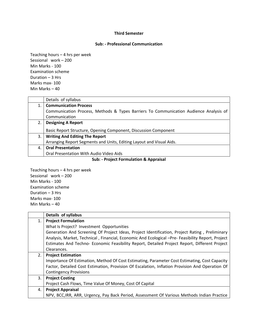#### **Third Semester**

#### **Sub: ‐ Professional Communication**

Teaching hours – 4 hrs per week Sessional work – 200 Min Marks ‐ 100 Examination scheme Duration – 3 Hrs Marks max‐ 100 Min Marks – 40

|    | Details of syllabus                                                                   |
|----|---------------------------------------------------------------------------------------|
|    | <b>Communication Process</b>                                                          |
|    | Communication Process, Methods & Types Barriers To Communication Audience Analysis of |
|    | Communication                                                                         |
| 2. | <b>Designing A Report</b>                                                             |
|    | Basic Report Structure, Opening Component, Discussion Component                       |
| 3. | <b>Writing And Editing The Report</b>                                                 |
|    | Arranging Report Segments and Units, Editing Layout and Visual Aids.                  |
| 4. | <b>Oral Presentation</b>                                                              |
|    | Oral Presentation With Audio Video Aids                                               |
|    |                                                                                       |

#### **Sub: ‐ Project Formulation & Appraisal**

Teaching hours – 4 hrs per week Sessional work – 200 Min Marks ‐ 100 Examination scheme Duration – 3 Hrs Marks max‐ 100 Min Marks – 40

|    | Details of syllabus                                                                               |
|----|---------------------------------------------------------------------------------------------------|
| 1. | <b>Project Formulation</b>                                                                        |
|    | What Is Project? Investment Opportunities                                                         |
|    | Generation And Screening Of Project Ideas, Project Identification, Project Rating, Preliminary    |
|    | Analysis, Market, Technical, Financial, Economic And Ecological -Pre- Feasibility Report, Project |
|    | Estimates And Techno- Economic Feasibility Report, Detailed Project Report, Different Project     |
|    | Clearances.                                                                                       |
| 2. | <b>Project Estimation</b>                                                                         |
|    | Importance Of Estimation, Method Of Cost Estimating, Parameter Cost Estimating, Cost Capacity     |
|    | Factor, Detailed Cost Estimation, Provision Of Escalation, Inflation Provision And Operation Of   |
|    | <b>Contingency Provisions</b>                                                                     |
| 3. | <b>Project Costing</b>                                                                            |
|    | Project Cash Flows, Time Value Of Money, Cost Of Capital                                          |
| 4. | <b>Project Appraisal</b>                                                                          |
|    | NPV, BCC, IRR, ARR, Urgency, Pay Back Period, Assessment Of Various Methods Indian Practice       |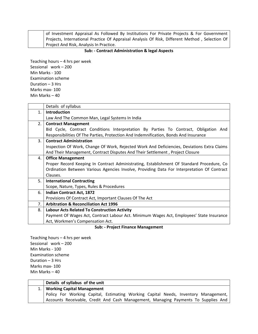|  | of Investment Appraisal As Followed By Institutions For Private Projects & For Government      |
|--|------------------------------------------------------------------------------------------------|
|  | Projects, International Practice Of Appraisal Analysis Of Risk, Different Method, Selection Of |
|  | Project And Risk, Analysis In Practice.                                                        |

## **Sub: ‐ Contract Administration & legal Aspects**

Teaching hours – 4 hrs per week Sessional work – 200 Min Marks ‐ 100 Examination scheme Duration – 3 Hrs Marks max‐ 100 Min Marks – 40

|     | Details of syllabus                                                                         |  |  |  |  |  |  |  |
|-----|---------------------------------------------------------------------------------------------|--|--|--|--|--|--|--|
| 1.  | <b>Introduction</b>                                                                         |  |  |  |  |  |  |  |
|     | Law And The Common Man, Legal Systems In India                                              |  |  |  |  |  |  |  |
| 2.1 | <b>Contract Management</b>                                                                  |  |  |  |  |  |  |  |
|     | Bid Cycle, Contract Conditions Interpretation By Parties To Contract, Obligation And        |  |  |  |  |  |  |  |
|     | Responsibilities Of The Parties, Protection And Indemnification, Bonds And Insurance        |  |  |  |  |  |  |  |
| 3.  | <b>Contract Administration</b>                                                              |  |  |  |  |  |  |  |
|     | Inspection Of Work, Change Of Work, Rejected Work And Deficiencies, Deviations Extra Claims |  |  |  |  |  |  |  |
|     | And Their Management, Contract Disputes And Their Settlement, Project Closure               |  |  |  |  |  |  |  |
| 4.  | <b>Office Management</b>                                                                    |  |  |  |  |  |  |  |
|     | Proper Record Keeping In Contract Administrating, Establishment Of Standard Procedure, Co   |  |  |  |  |  |  |  |
|     | Ordination Between Various Agencies Involve, Providing Data For Interpretation Of Contract  |  |  |  |  |  |  |  |
|     | Clauses.                                                                                    |  |  |  |  |  |  |  |
| 5.  | <b>International Contracting</b>                                                            |  |  |  |  |  |  |  |
|     | Scope, Nature, Types, Rules & Procedures                                                    |  |  |  |  |  |  |  |
| 6.  | <b>Indian Contract Act, 1872</b>                                                            |  |  |  |  |  |  |  |
|     | Provisions Of Contract Act, Important Clauses Of The Act                                    |  |  |  |  |  |  |  |
| 7.  | <b>Arbitration &amp; Reconciliation Act 1996</b>                                            |  |  |  |  |  |  |  |
| 8.  | <b>Labour Acts Related To Construction Activity</b>                                         |  |  |  |  |  |  |  |
|     | Payment Of Wages Act, Contract Labour Act. Minimum Wages Act, Employees' State Insurance    |  |  |  |  |  |  |  |
|     | Act, Workmen's Compensation Act.                                                            |  |  |  |  |  |  |  |

## **Sub: ‐ Project Finance Management**

Teaching hours – 4 hrs per week Sessional work – 200 Min Marks ‐ 100 Examination scheme Duration – 3 Hrs Marks max‐ 100 Min Marks – 40

| Details of syllabus of the unit                                                     |
|-------------------------------------------------------------------------------------|
| 1.   Working Capital Management                                                     |
| Policy For Working Capital, Estimating Working Capital Needs, Inventory Management, |
| Accounts Receivable, Credit And Cash Management, Managing Payments To Supplies And  |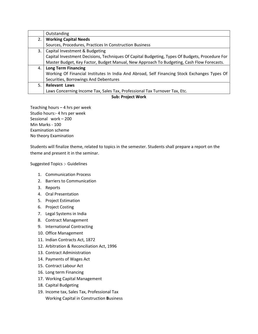|    | Outstanding                                                                                    |
|----|------------------------------------------------------------------------------------------------|
| 2. | <b>Working Capital Needs</b>                                                                   |
|    | Sources, Procedures, Practices In Construction Business                                        |
| 3. | Capital Investment & Budgeting                                                                 |
|    | Capital Investment Decisions, Techniques Of Capital Budgeting, Types Of Budgets, Procedure For |
|    | Master Budget, Key Factor, Budget Manual, New Approach To Budgeting, Cash Flow Forecasts.      |
| 4. | <b>Long Term Financing</b>                                                                     |
|    | Working Of Financial Institutes In India And Abroad, Self Financing Stock Exchanges Types Of   |
|    | Securities, Borrowings And Debentures                                                          |
| 5. | <b>Relevant Laws</b>                                                                           |
|    | Laws Concerning Income Tax, Sales Tax, Professional Tax Turnover Tax, Etc.                     |

## **Sub: Project Work**

Teaching hours – 4 hrs per week Studio hours:‐ 4 hrs per week Sessional work – 200 Min Marks ‐ 100 Examination scheme No theory Examination

Students will finalize theme, related to topics in the semester. Students shall prepare a report on the theme and present it in the seminar.

Suggested Topics :‐ Guidelines

- 1. Communication Process
- 2. Barriers to Communication
- 3. Reports
- 4. Oral Presentation
- 5. Project Estimation
- 6. Project Costing
- 7. Legal Systems in India
- 8. Contract Management
- 9. International Contracting
- 10. Office Management
- 11. Indian Contracts Act, 1872
- 12. Arbitration & Reconciliation Act, 1996
- 13. Contract Administration
- 14. Payments of Wages Act
- 15. Contract Labour Act
- 16. Long term Financing
- 17. Working Capital Management
- 18. Capital Budgeting
- 19. Income tax, Sales Tax, Professional Tax Working Capital in Construction **B**usiness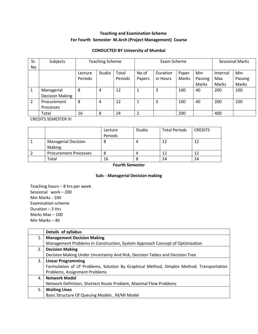# **Teaching and Examination Scheme For Fourth Semester M.Arch (Project Management) Course**

## **CONDUCTED BY University of Mumbai**

| Sr.            | Subjects               | <b>Teaching Scheme</b> |        |         | Exam Scheme    |          |       |         | <b>Sessional Marks</b> |         |
|----------------|------------------------|------------------------|--------|---------|----------------|----------|-------|---------|------------------------|---------|
| No.            |                        |                        |        |         |                |          |       |         |                        |         |
|                |                        |                        |        |         |                |          |       |         |                        |         |
|                |                        | Lecture                | Studio | Total   | No of          | Duration | Paper | Min     | Internal               | Min     |
|                |                        | Periods                |        | Periods | Papers         | in Hours | Marks | Passing | Max                    | Passing |
|                |                        |                        |        |         |                |          |       | Marks   | Marks                  | Marks   |
|                | Managerial             | 8                      | 4      | 12      | 1              | 3        | 100   | 40      | 200                    | 100     |
|                | <b>Decision Making</b> |                        |        |         |                |          |       |         |                        |         |
| $\overline{2}$ | Procurement            | 8                      | 4      | 12      | 1              | 3        | 100   | 40      | 200                    | 100     |
|                | Processes              |                        |        |         |                |          |       |         |                        |         |
|                | Total                  | 16                     | 8      | 24      | $\overline{2}$ |          | 200   |         | 400                    |         |

CREDITS SEMESTER IV

|                                             | Lecture | Studio | <b>Total Periods</b> | <b>CREDITS</b> |
|---------------------------------------------|---------|--------|----------------------|----------------|
|                                             | Periods |        |                      |                |
| <b>Managerial Decision</b><br><b>Making</b> |         | 4      |                      |                |
| <b>Procurement Processes</b>                |         | 4      |                      |                |
| Total                                       | 16      |        | 24                   | 24             |

## **Fourth Semester**

## **Sub: ‐ Managerial Decision making**

Teaching hours – 8 hrs per week Sessional work – 200 Min Marks ‐ 100 Examination scheme Duration – 3 Hrs Marks Max – 100 Min Marks – 40

|    | Details of syllabus                                                                      |
|----|------------------------------------------------------------------------------------------|
| 1. | <b>Management Decision Making</b>                                                        |
|    | Management Problems In Construction, System Approach Concept of Optimization             |
| 2. | <b>Decision Making</b>                                                                   |
|    | Decision Making Under Uncertainty And Risk, Decision Tables and Decision Tree            |
| 3. | <b>Linear Programming</b>                                                                |
|    | Formulation of LP Problems, Solution By Graphical Method, Simplex Method, Transportation |
|    | Problems, Assignment Problems                                                            |
| 4. | <b>Network Model</b>                                                                     |
|    | Network Definition, Shortest Route Problem, Maximal Flow Problems                        |
| 5. | <b>Waiting Lines</b>                                                                     |
|    | Basic Structure Of Queuing Models, M/Mi Model                                            |